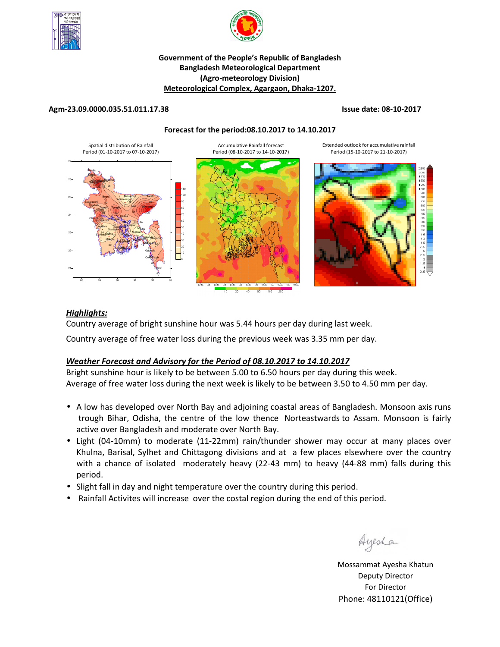



# **Government of the People's Republic of Bangladesh Bangladesh Meteorological Department (Agro-meteorology Division) Meteorological Complex, Agargaon, Dhaka-1207.**

### **Agm-23.09.0000.035.51.011.17.38 Issue date: 08-10-2017**

**Forecast for the period:08.10.2017 to 14.10.2017**



# *Highlights:*

Country average of bright sunshine hour was 5.44 hours per day during last week.

Country average of free water loss during the previous week was 3.35 mm per day.

# *Weather Forecast and Advisory for the Period of 08.10.2017 to 14.10.2017*

Bright sunshine hour is likely to be between 5.00 to 6.50 hours per day during this week. Average of free water loss during the next week is likely to be between 3.50 to 4.50 mm per day.

- A low has developed over North Bay and adjoining coastal areas of Bangladesh. Monsoon axis runs trough Bihar, Odisha, the centre of the low thence Norteastwards to Assam. Monsoon is fairly active over Bangladesh and moderate over North Bay.
- Light (04-10mm) to moderate (11-22mm) rain/thunder shower may occur at many places over Khulna, Barisal, Sylhet and Chittagong divisions and at a few places elsewhere over the country with a chance of isolated moderately heavy (22-43 mm) to heavy (44-88 mm) falls during this period.
- Slight fall in day and night temperature over the country during this period.
- Rainfall Activites will increase over the costal region during the end of this period.

Ayesha

**N.B** Mossammat Ayesha Khatun Deputy Director For Director Phone: 48110121(Office)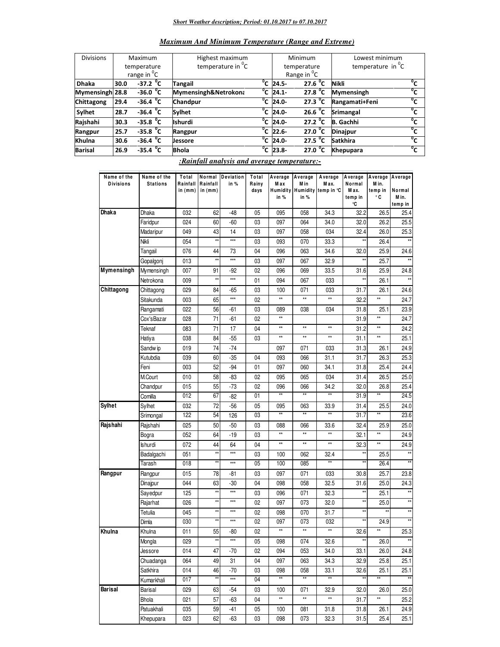#### *Short Weather description; Period: 01.10.2017 to 07.10.2017*

| Maximum And Minimum Temperature (Range and Extreme) |  |  |  |  |
|-----------------------------------------------------|--|--|--|--|
|                                                     |  |  |  |  |

| <b>Divisions</b> | Maximum                 |                        | Highest maximum               |    |                         | <b>Minimum</b>          | Lowest minimum       |                              |
|------------------|-------------------------|------------------------|-------------------------------|----|-------------------------|-------------------------|----------------------|------------------------------|
|                  |                         |                        |                               |    |                         |                         |                      |                              |
|                  | temperature             |                        | temperature in <sup>o</sup> C |    | temperature             |                         | temperature in $^0C$ |                              |
|                  | range in <sup>o</sup> C |                        |                               |    |                         | Range in <sup>o</sup> C |                      |                              |
| <b>Dhaka</b>     | 30.0                    | $-37.2$ <sup>o</sup> C | <b>Tangail</b>                |    | $\overline{^0}$ C 24.5- | 27.6 $^{\circ}$ C       | <b>Nikli</b>         | $\mathfrak{o}_{\mathcal{L}}$ |
| Mymensingh 28.8  |                         | $-36.0$ <sup>O</sup> C | Mymensingh&Netrokona          |    | $^{\circ}$ C 24.1-      | 27.8 $^{\circ}$ C       | <b>Mymensingh</b>    | $\mathfrak{a}_c$             |
| Chittagong       | 29.4                    | $-36.4 °C$             | Chandpur                      |    | $\overline{^0}$ C 24.0- | 27.3 $^{\circ}$ C       | Rangamati+Feni       | °c                           |
| <b>Sylhet</b>    | 28.7                    | $-36.4 °C$             | <b>Sylhet</b>                 |    | $\overline{^0C}$ 24.0-  | 26.6 $^{\circ}$ C       | Srimangal            | $^{\circ}$                   |
| Rajshahi         | 30.3                    | $-35.8$ <sup>O</sup> C | <b>Ishurdi</b>                | °c | $24.0 -$                | $27.2$ <sup>o</sup> C   | <b>B.</b> Gachhi     | $\mathfrak{a}_c$             |
| Rangpur          | 25.7                    | $-35.8 °C$             | Rangpur                       |    | $\overline{^0C}$ 22.6-  | 27.0 $^{\circ}$ C       | <b>Dinajpur</b>      | $^0\sigma$                   |
| Khulna           | 30.6                    | $-36.4$ <sup>O</sup> C | <b>Jessore</b>                |    | $\overline{^0C}$ 24.0-  | 27.5 $^{\circ}$ C       | <b>Satkhira</b>      | $^{\circ}$                   |
| <b>Barisal</b>   | 26.9                    | $-35.4$ <sup>O</sup> C | <b>Bhola</b>                  |    | $\overline{C}$ 23.8-    | 27.0 °C                 | <b>Khepupara</b>     | °c                           |

#### *:Rainfall analysis and average temperature:-*

| Name of the      | Name of the     | Total               | Normal                | Deviation | Total         | Average                | Average           | Average                               | Average         | Average          | Average         |
|------------------|-----------------|---------------------|-----------------------|-----------|---------------|------------------------|-------------------|---------------------------------------|-----------------|------------------|-----------------|
| <b>Divisions</b> | <b>Stations</b> | Rainfall<br>in (mm) | Rainfall<br>in $(mm)$ | in %      | Rainy<br>days | Max                    | M in              | M ax.<br>Humidity Humidity temp in °C | Normal<br>M ax. | M in.<br>temp in | Normal          |
|                  |                 |                     |                       |           |               | in %                   | in %              |                                       | temp in         | ۰c               | M in.           |
|                  |                 |                     |                       |           |               |                        |                   |                                       | ۰C              |                  | temp in         |
| Dhaka            | Dhaka           | 032                 | 62                    | -48       | 05            | 095                    | 058               | 34.3                                  | 32.2            | 26.5             | 25.4            |
|                  | Faridpur        | 024                 | 60                    | -60       | 03            | 097                    | 064               | 34.0                                  | 32.0            | 26.2             | 25.5            |
|                  | Madaripur       | 049                 | 43                    | 14        | 03            | 097                    | 058               | 034                                   | 32.4            | 26.0             | 25.3            |
|                  | Nikli           | 054                 | ××                    | $***$     | 03            | 093                    | 070               | 33.3                                  | **              | 26.4             | $\star\star$    |
|                  | Tangail         | 076                 | 44                    | 73        | 04            | 096                    | 063               | 34.6                                  | 32.0            | 25.9             | 24.6            |
|                  | Gopalgonj       | 013                 | **                    | $***$     | 03            | 097                    | 067               | 32.9                                  | **              | 25.7             | $\star\star$    |
| Mymensingh       | Mymensingh      | 007                 | 91                    | -92       | 02            | 096                    | 069               | 33.5                                  | 31.6            | 25.9             | 24.8            |
|                  | Netrokona       | 009                 | $\star\star$          | $***$     | 01            | 094                    | 067               | 033                                   | $\star\star$    | 26.1             | $\star\star$    |
| Chittagong       | Chittagong      | 029                 | 84                    | -65       | 03            | 100                    | 071               | 033                                   | 31.7            | 26.1             | 24.6            |
|                  | Sitakunda       | 003                 | 65                    | $***$     | 02            | $^{\star\star}$        | $\star\star$      | **                                    | 32.2            | $^{\star\star}$  | 24.7            |
|                  | Rangamati       | 022                 | 56                    | -61       | 03            | 089                    | 038               | 034                                   | 31.8            | 25.1             | 23.9            |
|                  | Cox'sBazar      | 028                 | 71                    | -61       | $02\,$        | $\star\star$           |                   |                                       | 31.9            | $\star\star$     | 24.7            |
|                  | Teknaf          | 083                 | 71                    | 17        | 04            | **                     | **                | $\star\star$                          | 31.2            | $^{\star\star}$  | 24.2            |
|                  | Hatiya          | 038                 | 84                    | $-55$     | 03            | **                     | **                | $\star\star$                          | 31.1            | $\star\star$     | 25.1            |
|                  | Sandw ip        | 019                 | 74                    | $-74$     |               | 097                    | 071               | 033                                   | 31.3            | 26.1             | 24.9            |
|                  | Kutubdia        | 039                 | 60                    | $-35$     | 04            | 093                    | 066               | 31.1                                  | 31.7            | 26.3             | 25.3            |
|                  | Feni            | 003                 | 52                    | -94       | 01            | 097                    | 060               | 34.1                                  | 31.8            | 25.4             | 24.4            |
|                  | M.Court         | 010                 | 58                    | -83       | 02            | 095                    | 065               | 034                                   | 31.4            | 26.5             | 25.0            |
|                  | Chandpur        | 015                 | 55                    | $-73$     | 02            | 096                    | 066               | 34.2                                  | 32.0            | 26.8             | 25.4            |
|                  | Comilla         | 012                 | 67                    | -82       | 01            | $\star\star$           | $\overline{\ast}$ | **                                    | 31.9            | **               | 24.5            |
| <b>Sylhet</b>    | Sylhet          | 032                 | 72                    | $-56$     | 05            | 095                    | 063               | 33.9                                  | 31.4            | 25.5             | 24.0            |
|                  | Srimongal       | 122                 | 54                    | 126       | 03            | **                     | **                | **                                    | 31.7            | $\star\star$     | 23.6            |
| Rajshahi         | Rajshahi        | 025                 | 50                    | $-50$     | 03            | 088                    | 066               | 33.6                                  | 32.4            | 25.9             | 25.0            |
|                  | Bogra           | 052                 | 64                    | $-19$     | 03            | **                     | **                | **                                    | 32.1            | $\star\star$     | 24.9            |
|                  | Ishurdi         | 072                 | 44                    | 64        | 04            | $\star\star$           | $\star\star$      | $\star\star$                          | 32.3            | $^{\star\star}$  | 24.9            |
|                  | Badalgachi      | 051                 | ××                    | $***$     | 03            | 100                    | 062               | 32.4                                  | **              | 25.5             | $\star\star$    |
|                  | Tarash          | 018                 | $\star\star$          | $***$     | 05            | 100                    | 085               | **                                    | **              | 26.4             |                 |
| Rangpur          | Rangpur         | 015                 | 78                    | -81       | 03            | 097                    | 071               | 033                                   | 30.8            | 25.7             | 23.8            |
|                  | Dinajpur        | 044                 | 63                    | $-30$     | 04            | 098                    | 058               | 32.5                                  | 31.6            | 25.0             | 24.3            |
|                  | Sayedpur        | 125                 | $\star\star$          | $***$     | 03            | 096                    | 071               | 32.3                                  | **              | 25.1             | **              |
|                  | Rajarhat        | 026                 | **                    | $***$     | 02            | 097                    | 073               | 32.0                                  | **              | 25.0             | **              |
|                  | Tetulia         | 045                 | $\star\star$          | $***$     | 02            | 098                    | 070               | 31.7                                  | **              | **               | **              |
|                  | Dimla           | 030                 | $\star\star$          | $***$     | 02            | 097                    | 073               | 032                                   | **              | 24.9             | **              |
| Khulna           | Khulna          | 011                 | 55                    | -80       | 02            | **                     | $\star\star$      | **                                    | 32.6            | $\star\star$     | 25.3            |
|                  | Mongla          | 029                 | $^{\star\star}$       | $***$     | 05            | 098                    | 074               | 32.6                                  | $\star\star$    | 26.0             | $^{\star\star}$ |
|                  | Jessore         | 014                 | $\overline{47}$       | -70       | 02            | 094                    | 053               | 34.0                                  | 33.1            | 26.0             | 24.8            |
|                  | Chuadanga       | 064                 | 49                    | 31        | 04            | 097                    | 063               | 34.3                                  | 32.9            | 25.8             | 25.1            |
|                  | Satkhira        | 014                 | 46                    | $-70$     | 03            | 098                    | 058               | 33.1                                  | 32.6            | 25.1             | 25.1            |
|                  | Kumarkhali      | 017                 | ×                     | ***       | 04            | $^{\star\star}$        | $\star\star$      | $\star\star$                          | xx              | **               | $\star\star$    |
| Barisal          |                 | 029                 | 63                    | $-54$     | 03            |                        | 071               | 32.9                                  | 32.0            |                  | 25.0            |
|                  | Barisal         |                     |                       |           |               | 100<br>$^{\star\star}$ | $^{\star\star}$   | $^{\star\star}$                       |                 | 26.0<br>**       |                 |
|                  | Bhola           | 021                 | 57                    | -63       | 04            |                        |                   |                                       | 31.7            |                  | 25.2            |
|                  | Patuakhali      | 035                 | 59                    | $-41$     | 05            | 100                    | 081               | 31.8                                  | 31.8            | 26.1             | 24.9            |
|                  | Khepupara       | 023                 | 62                    | $-63$     | 03            | 098                    | 073               | 32.3                                  | 31.5            | 25.4             | 25.1            |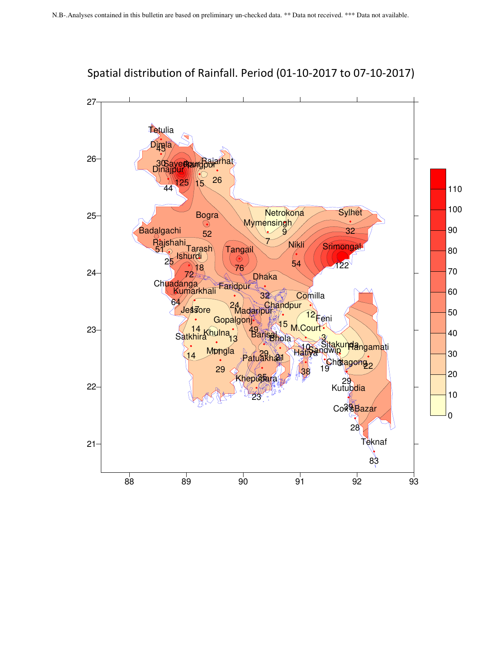

Spatial distribution of Rainfall. Period (01-10-2017 to 07-10-2017)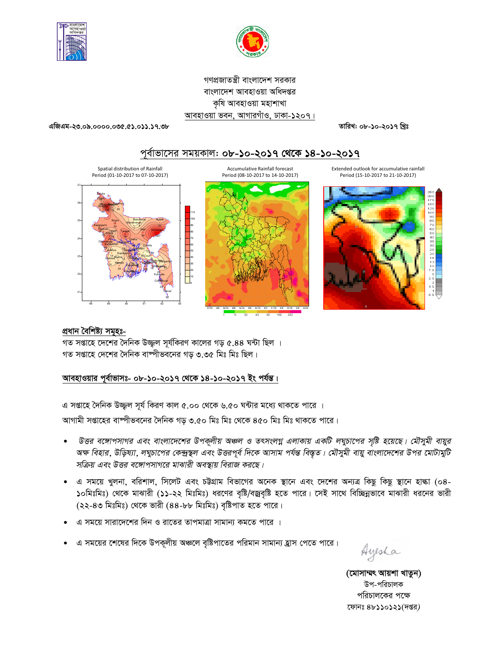



গণপ্রজাতন্ত্রী বাংলাদেশ সরকার বাংলাদেশ আবহাওয়া অধিদপ্তর কৃষি আবহাওয়া মহাশাখা আবহাওয়া ভবন, আগারগাঁও, ঢাকা-১২০৭।

এজিএম-২৩.০৯.০০০০.০৩৫.৫১.০১১.১৭.৩৮

তারিখ: ০৮-১০-২০১৭ খ্রিঃ







Extended outlook for accumulative rainfall Period (15-10-2017 to 21-10-2017)



### প্ৰধান বৈশিষ্ট্য সমূহঃ-

গত সপ্তাহে দেশের দৈনিক উজ্জল সূর্যকিরণ কালের গড় ৫.৪৪ ঘন্টা ছিল । গত সপ্তাহে দেশের দৈনিক বাষ্পীভবনের গড় ৩.৩৫ মিঃ মিঃ ছিল।

# আবহাওয়ার পূর্বাভাসঃ- ০৮-১০-২০১৭ থেকে ১৪-১০-২০১৭ ইং পর্যন্ত।

এ সপ্তাহে দৈনিক উজ্জুল সূর্য কিরণ কাল ৫.০০ থেকে ৬.৫০ ঘন্টার মধ্যে থাকতে পারে ।

আগামী সপ্তাহের বাষ্পীভবনের দৈনিক গড় ৩.৫০ মিঃ মিঃ থেকে ৪৫০ মিঃ মিঃ থাকতে পারে।

- উত্তর বঙ্গোপসাগর এবং বাংলাদেশের উপকূলীয় অঞ্চল ও তৎসংলগ্ন এলাকায় একটি লঘুচাপের সৃষ্টি হয়েছে। মৌসুমী বায়ুর অক্ষ বিহার, উড়িষ্যা, লঘুচাপের কেন্দ্রস্থল এবং উত্তরপূর্ব দিকে আসাম পর্যন্ত বিস্তৃত। মৌসুমী বায়ু বাংলাদেশের উপর মোটামুটি সক্রিয় এবং উত্তর বঙ্গোপসাগরে মাঝারী অবস্থায় বিরাজ করছে।
- এ সময়ে খুলনা, বরিশাল, সিলেট এবং চউগ্রাম বিভাগের অনেক স্থানে এবং দেশের অন্যত্র কিছু কিছু স্থানে হাল্কা (০৪-১০মিঃমিঃ) থেকে মাঝারী (১১-২২ মিঃমিঃ) ধরণের বৃষ্টি/বজ্রবৃষ্টি হতে পারে। সেই সাথে বিচ্ছিন্নভাবে মাঝারী ধরনের ভারী (২২-৪৩ মিঃমিঃ) থেকে ভারী (৪৪-৮৮ মিঃমিঃ) বৃষ্টিপাত হতে পারে।
- এ সময়ে সারাদেশের দিন ও রাতের তাপমাত্রা সামান্য কমতে পারে ।
- এ সময়ের শেষের দিকে উপকূলীয় অঞ্চলে বৃষ্টিপাতের পরিমান সামান্য হ্রাস পেতে পারে।

Ayesha

(মোসাম্মৎ আয়শা খাতুন) উপ-পরিচালক পরিচালকের পক্ষে ফোনঃ ৪৮১১০১২১(দপ্তর)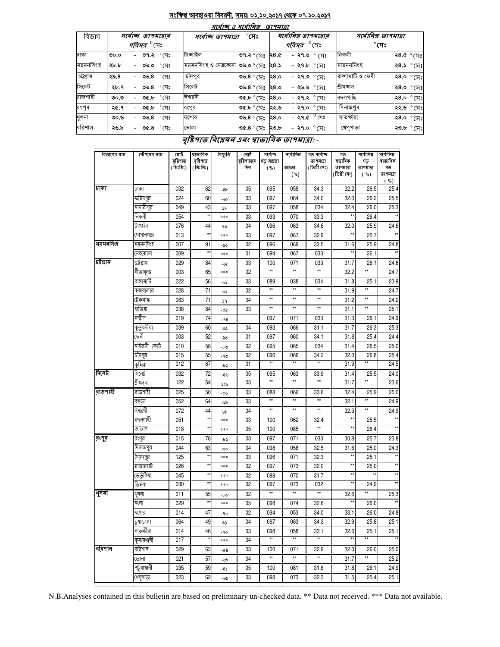#### <u>সংক্ষিপ্ত আবহাওয়া বিবরণী, সময়: ০১.১০.২০১৭ থেকে ০৭.১০.২০১৭</u>  $= 0.756$

|           |      |                               | માવાજ હ માવાાવશ                         |                                      | <i><b>9174191</b></i> | সর্বোনিম্ন তাপমাত্রার    |                      |                     |  |
|-----------|------|-------------------------------|-----------------------------------------|--------------------------------------|-----------------------|--------------------------|----------------------|---------------------|--|
| বিভাগ     |      | সৰ্বোচ্ছ তাপমাত্ৰাৰ           |                                         | $^\circ$ সেঃ<br>সৰ্বোচ্ছ ত্ৰাপমাত্ৰা |                       |                          | সর্বোনিম্ন তাপমাত্রা |                     |  |
|           |      | <i>পরিসর <sup>৩</sup></i> সেঃ |                                         |                                      |                       | $^{\rm 0}$ সেঃ<br>পৰিসৰ  | $^\circ$ সেঃ         |                     |  |
| ঢাকা      | 0.00 | - ৩৭.২ ° সেঃ                  | টাঙ্গাইল                                | ৩৭.২ $^{\circ}$ সেঃ ২৪.৫             |                       | - ২৭.৬ $^{\circ}$ (সঃ    | নিকলী                | ২৪.৫ $\degree$ সেঃ  |  |
| ময়মনসিংহ | ২৮.৮ | $^\circ$ সেঃ<br>- ৩৬.০        | ময়মনসিংহ ও নেত্রকোনা <b>৩৬.০</b> ° সেঃ |                                      | ২৪.১                  | - ২৭.৮ ° সেঃ             | মায়মননিংহ           | ২৪.১ ° সেঃ          |  |
| চট্টগ্ৰাম | ২৯.৪ | °সেঃ<br>- ৩৬.৪                | চাদপুর                                  | ৩৬.৪ ° সেঃ                           | 8.0                   | $^{\circ}$ সেঃ<br>-২৭.৩  | রাজ্ঞামাটি ও ফেণী    | ২8.০ $^{\circ}$ সেঃ |  |
| সিলেট     | ২৮.৭ | $^\circ$ সেঃ<br>- ৩৬.৪        | সিলেট                                   | ৩৬.৪ ° সেঃ                           | 8.0                   | $^{\circ}$ সেঃ<br>- ২৬.৬ | শ্ৰীমজ্ঞাল           | ২8.০ ° সেঃ          |  |
| রাজশাহী   | ৩০.৩ | $^\circ$ সেঃ<br>- ৩৫.৮        | ঈশ্বরদী                                 | ৩৫.৮ ° (সঃ                           | २8.०                  | - ২৭.২ °সেঃ              | বদলগাছি              | ২8.০ $\degree$ মেঃ  |  |
| রংপর      | ২৫.৭ | - ৩৫.৮ $\degree$ সেঃ          | রংপুর                                   | ৩৫.৮ ° (সঃ                           | ২২.৬                  | - ২৭.০ $\degree$ সেঃ     | দিনাজপুর             | ২২.৬ ° সেঃ          |  |
| খুলনা     | ৩০.৬ | $^\circ$ সেঃ<br>৩৬.৪          | যশোর                                    | <b>৩৬.৪</b> ° সেঃ                    | 8.0                   | $^{\circ}$ সেঃ<br>-২৭.৫  | সাতক্ষীরা            | ২৪.০ ° সেঃ          |  |
| বরিশাল    | ২৬.৯ | $^{\circ}$ সেঃ<br>৩৫.৪        | ভোলা                                    | ৩৫.৪ $^{\circ}$ সেঃ ২৩.৮             |                       | - ২৭.০ °সেঃ              | খেপুপাড়া            | ২৩.৮ ° সেঃ          |  |

# বৃষ্টিপাত বিশ্লেষৰ এবং স্বাভাবিক তাপমাত্ৰা: -

| বিভাগের নাম | স্টেশনের নাম         | মোট<br>বৃষ্টিপাত | ষাভাবিক<br>বৃষ্টিপাত  | বিছ্যুতি                                | মোট<br>বৃষ্টিশাতের | সৰ্বোচ্ছ<br>গড আদ্রতা | সর্বোনিম্ন             | গড সৰ্বোচ্ছ<br>তাপমাত্রা | গড<br>ষভাবিক         | সৰ্বোনিম্ন<br>গড     | সৰ্বোনিম্ন<br>ষাভাবিক   |
|-------------|----------------------|------------------|-----------------------|-----------------------------------------|--------------------|-----------------------|------------------------|--------------------------|----------------------|----------------------|-------------------------|
|             |                      | (মিঃমিঃ)         | (মিঃমিঃ)              |                                         | দিন                | ( %)                  | আদ্ৰতা                 | (ডিগ্ৰী সেঃ)             | তাপমাত্রা            | তাপমাত্রা            | গড়                     |
|             |                      |                  |                       |                                         |                    |                       | ( %)                   |                          | (ডিগ্ৰী সেঃ)         | ( %)                 | তাপমাত্রা<br>( %)       |
| ঢাকা        | ঢাকা                 | 032              | 62                    | $-8b$                                   | 05                 | 095                   | 058                    | 34.3                     | 32.2                 | 26.5                 | 25.4                    |
|             | ফরিদপুর              | 024              | 60                    | -৬০                                     | 03                 | 097                   | 064                    | 34.0                     | 32.0                 | 26.2                 | 25.5                    |
|             | মাদারীপুর            | 049              | 43                    | $\sqrt{8}$                              | 03                 | 097                   | 058                    | 034                      | 32.4                 | 26.0                 | 25.3                    |
|             | নিকলী                | 054              | $\star\star$          | ***                                     | 03                 | 093                   | 070                    | 33.3                     | $\star\star$         | 26.4                 | $\star\star$            |
|             | টাঙ্গাইল             | 076              | 44                    | ৭৩                                      | 04                 | 096                   | 063                    | 34.6                     | 32.0                 | 25.9                 | 24.6                    |
|             | গোপালগজ্ঞ            | 013              | $\star\star$          | ***                                     | 03                 | 097                   | 067                    | 32.9                     | $\star\star$         | 25.7                 | $\star\star$            |
| ময়মনসিংহ   | ময়মনসিংহ            | 007              | 91                    | -৯২                                     | 02                 | 096                   | 069                    | 33.5                     | 31.6                 | 25.9                 | 24.8                    |
|             | নেত্ৰকোনা            | 009              | $\star\star$          | ***                                     | 01                 | 094                   | 067                    | 033                      | **                   | 26.1                 |                         |
| চউগ্ৰাম     | ঢট্রগ্রাম            | 029              | 84                    | -66                                     | 03                 | 100                   | 071                    | 033                      | 31.7                 | 26.1                 | 24.6                    |
|             | সীতাকুন্ড            | 003              | 65                    | ***                                     | 02                 | $\star\star$          |                        |                          | 32.2                 | **                   | 24.7                    |
|             | রাঙ্গামাটি           | 022              | 56                    | -৬১                                     | 03                 | 089                   | 038                    | 034                      | 31.8                 | 25.1                 | 23.9                    |
|             | কক্সবাজার            | 028              | 71                    | -৬১                                     | 02                 | $\star\star$          | $^{\star\star}$        | $\star\star$             | 31.9                 | $^{\star\star}$      | 24.7                    |
|             | টেকনাফ               | 083              | 71                    | 59                                      | 04                 | $^{\star\star}$       | $\star\star$           | **                       | 31.2                 | $\star\star$         | 24.2                    |
|             | হাতিয়া              | 038              | 84                    | -00                                     | 03                 | $\star\star$          | $^{\star\star}$        | **                       | 31.1                 | $^{\star\star}$      | 25.1                    |
|             | সন্দ্বীপ             | 019              | 74                    | $-98$                                   |                    | 097                   | 071                    | 033                      | 31.3                 | 26.1                 | 24.9                    |
|             | কুতুবদীয়া           | 039              | 60                    | -00                                     | 04                 | 093                   | 066                    | 31.1                     | 31.7                 | 26.3                 | 25.3                    |
|             | কেনী                 | 003              | 52                    | -৯৪                                     | 01                 | 097                   | 060                    | 34.1                     | 31.8                 | 25.4                 | 24.4                    |
|             | মাইজদী কোর্ট         | 010              | 58                    | -৮৩                                     | 02                 | 095                   | 065                    | 034                      | 31.4                 | 26.5                 | 25.0                    |
|             | চাঁদপুর              | 015              | 55                    | - 90                                    | 02                 | 096<br>$\star\star$   | 066                    | 34.2<br>$\star\star$     | 32.0                 | 26.8<br>$\star\star$ | 25.4                    |
|             | কুমিল্লা             | 012              | 67                    | -৮২                                     | 01                 |                       |                        |                          | 31.9                 |                      | 24.5                    |
| সিলেট       | সিলেট                | 032              | 72                    | -৫৬                                     | 05                 | 095<br>$\star\star$   | 063<br>$\star\star$    | 33.9<br>$\star\star$     | 31.4                 | 25.5<br>$\star\star$ | 24.0                    |
|             | শ্ৰীমঙ্গল            | 122              | 54                    | ১২৬                                     | 03                 |                       |                        |                          | 31.7                 |                      | 23.6                    |
| রাজশাহী     | রাজশাহী              | 025              | 50                    | -00                                     | 03                 | 088<br>$\star\star$   | 066<br>$^{\star\star}$ | 33.6<br>**               | 32.4                 | 25.9<br>**           | 25.0                    |
|             | বগুডা                | 052              | 64                    | -১৯                                     | 03                 | $\star\star$          | $^{\star\star}$        | $\star\star$             | 32.1                 | $^{\star\star}$      | 24.9                    |
|             | ঈশ্বরদী              | 072              | 44<br>$\star\star$    | 98                                      | 04                 |                       |                        |                          | 32.3<br>$\star\star$ |                      | 24.9<br>$^{\star\star}$ |
|             | বদলগাঘী              | 051              | **                    | ***                                     | 03                 | 100                   | 062                    | 32.4                     |                      | 25.5                 |                         |
|             | তাডাশ                | 018              |                       | ***                                     | 05                 | 100                   | 085                    |                          |                      | 26.4                 |                         |
| রংপুর       | রংপুর                | 015              | 78                    | -৮১                                     | 03                 | 097                   | 071                    | 033                      | 30.8                 | 25.7                 | 23.8                    |
|             | দিনাজপুর             | 044<br>125       | 63<br>$^{\star\star}$ | -৩০<br>***                              | 04<br>03           | 098<br>096            | 058<br>071             | 32.5<br>32.3             | 31.6<br>$\star\star$ | 25.0<br>25.1         | 24.3<br>$\star\star$    |
|             | সৈয়দপুর<br>রাজারহাট | 026              | **                    | ***                                     | 02                 | 097                   | 073                    | 32.0                     | $\star\star$         | 25.0                 | $^{\star\star}$         |
|             | তেতুঁলিয়া           | 045              | **                    | ***                                     | 02                 | 098                   | 070                    | 31.7                     | $\star\star$         |                      | $\star\star$            |
|             | ডিমলা                | 030              | **                    | ***                                     | 02                 | 097                   | 073                    | 032                      | x,                   | 24.9                 | $^{\star\star}$         |
| থুলনা       | থুলনা                | 011              | 55                    | -po                                     | 02                 | $\star\star$          | $^{\star\star}$        | $\star\star$             | 32.6                 | $^{\star\star}$      | 25.3                    |
|             | মংলা                 | 029              | **                    | ***                                     | 05                 | 098                   | 074                    | 32.6                     |                      | 26.0                 | $\star\star$            |
|             | যশোর                 | 014              | 47                    |                                         | 02                 | 094                   | 053                    | 34.0                     | 33.1                 | 26.0                 | 24.8                    |
|             | ঢ়য়ড়াঙ্গা          | 064              | 49                    | -90<br>৩১                               | 04                 | 097                   | 063                    | 34.3                     | 32.9                 | 25.8                 | 25.1                    |
|             | সাতক্ষীরা            | 014              | 46                    | -90                                     | 03                 | 098                   | 058                    | 33.1                     | 32.6                 | 25.1                 | 25.1                    |
|             | কুমারখালী            | 017              | $\star\star$          | ***                                     | 04                 | $\star\star$          | $\star\star$           | $\star\star$             | $\star\star$         | **                   | $\star\star$            |
| বরিশাল      | বরিশাল               | 029              | 63                    | $-0.8$                                  | 03                 | 100                   | 071                    | 32.9                     | 32.0                 | 26.0                 | 25.0                    |
|             | ভোলা                 | 021              | 57                    | -50                                     | 04                 | $\star\star$          | $\star\star$           | $\star\star$             | 31.7                 | **                   | 25.2                    |
|             | পটুয়াথালী           | 035              | 59                    | $-8$ $\hspace{-1.0mm}\rule{0mm}{2.5mm}$ | 05                 | 100                   | 081                    | 31.8                     | 31.8                 | 26.1                 | 24.9                    |
|             | খেপুপাডা             | 023              | 62                    | -৬৩                                     | 03                 | 098                   | 073                    | 32.3                     | 31.5                 | 25.4                 | 25.1                    |
|             |                      |                  |                       |                                         |                    |                       |                        |                          |                      |                      |                         |

N.B.Analyses contained in this bulletin are based on preliminary un-checked data. \*\* Data not received. \*\*\* Data not available.